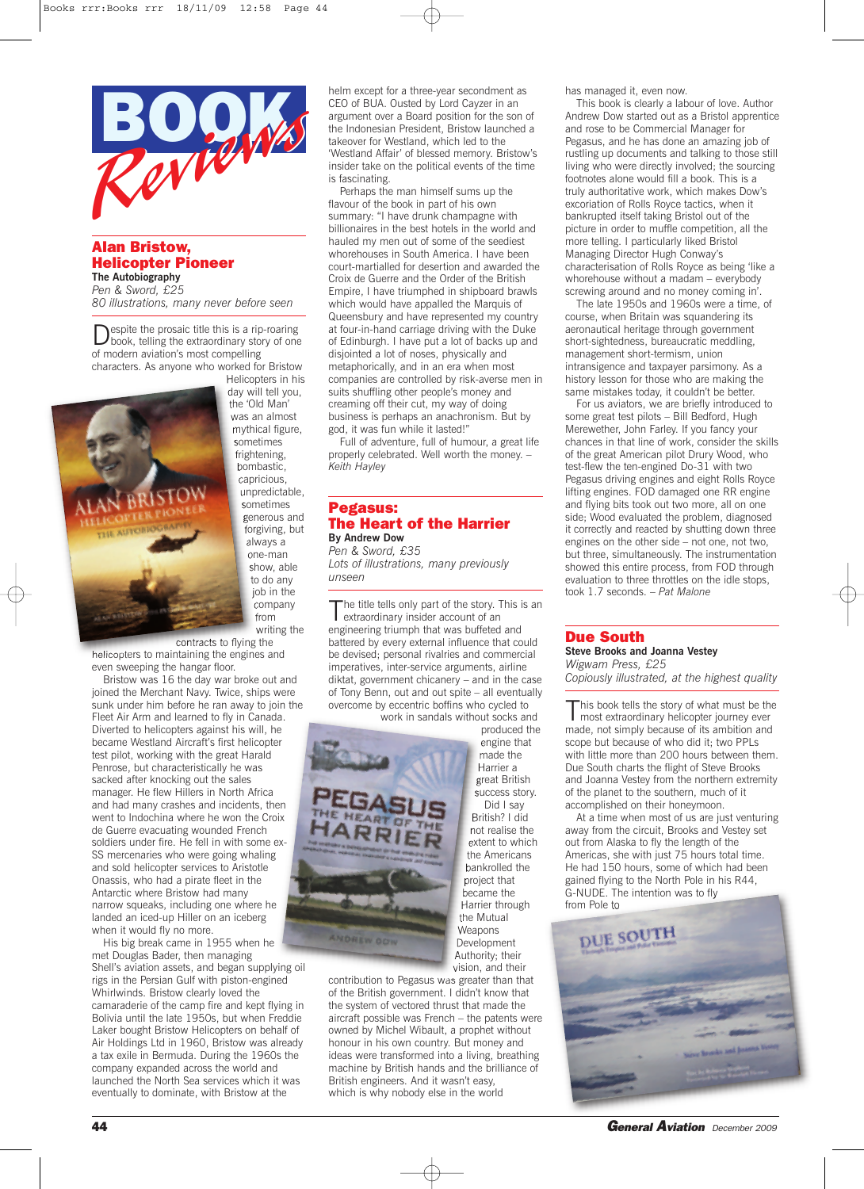

# **Alan Bristow, Helicopter Pioneer The Autobiography**

*Pen & Sword, £25 80 illustrations, many never before seen*

Despite the prosaic title this is <sup>a</sup> rip-roaring book, telling the extraordinary story of one of modern aviation's most compelling characters. As anyone who worked for Bristow Helicopters in his



the 'Old Man' was an almost mythical figure, sometimes frightening, bombastic, capricious, unpredictable, sometimes generous and forgiving, but always a one-man show, able to do any job in the company from writing the

contracts to flying the helicopters to maintaining the engines and even sweeping the hangar floor.

Bristow was 16 the day war broke out and joined the Merchant Navy. Twice, ships were sunk under him before he ran away to join the Fleet Air Arm and learned to fly in Canada. Diverted to helicopters against his will, he became Westland Aircraft's first helicopter test pilot, working with the great Harald Penrose, but characteristically he was sacked after knocking out the sales manager. He flew Hillers in North Africa and had many crashes and incidents, then went to Indochina where he won the Croix de Guerre evacuating wounded French soldiers under fire. He fell in with some ex-SS mercenaries who were going whaling and sold helicopter services to Aristotle Onassis, who had a pirate fleet in the Antarctic where Bristow had many narrow squeaks, including one where he landed an iced-up Hiller on an iceberg when it would fly no more.

His big break came in 1955 when he met Douglas Bader, then managing Shell's aviation assets, and began supplying oil rigs in the Persian Gulf with piston-engined Whirlwinds. Bristow clearly loved the camaraderie of the camp fire and kept flying in Bolivia until the late 1950s, but when Freddie Laker bought Bristow Helicopters on behalf of Air Holdings Ltd in 1960, Bristow was already a tax exile in Bermuda. During the 1960s the company expanded across the world and launched the North Sea services which it was eventually to dominate, with Bristow at the

helm except for a three-year secondment as CEO of BUA. Ousted by Lord Cayzer in an argument over a Board position for the son of the Indonesian President, Bristow launched a takeover for Westland, which led to the 'Westland Affair' of blessed memory. Bristow's insider take on the political events of the time is fascinating.

Perhaps the man himself sums up the flavour of the book in part of his own summary: "I have drunk champagne with billionaires in the best hotels in the world and hauled my men out of some of the seediest whorehouses in South America. I have been court-martialled for desertion and awarded the Croix de Guerre and the Order of the British Empire, I have triumphed in shipboard brawls which would have appalled the Marquis of Queensbury and have represented my country at four-in-hand carriage driving with the Duke of Edinburgh. I have put a lot of backs up and disjointed a lot of noses, physically and metaphorically, and in an era when most companies are controlled by risk-averse men in suits shuffling other people's money and creaming off their cut, my way of doing business is perhaps an anachronism. But by god, it was fun while it lasted!"

Full of adventure, full of humour, a great life properly celebrated. Well worth the money. – *Keith Hayley*

#### **Pegasus: The Heart of the Harrier By Andrew Dow**

*Pen & Sword, £35 Lots of illustrations, many previously unseen*

The title tells only part of the story. This is an extraordinary insider account of an engineering triumph that was buffeted and battered by every external influence that could be devised; personal rivalries and commercial imperatives, inter-service arguments, airline diktat, government chicanery – and in the case of Tony Benn, out and out spite – all eventually overcome by eccentric boffins who cycled to work in sandals without socks and

produced the

engine that made the Harrier a great British success story. Did I say British? I did not realise the extent to which the Americans bankrolled the project that became the Harrier through the Mutual

vision, and their



contribution to Pegasus was greater than that of the British government. I didn't know that the system of vectored thrust that made the aircraft possible was French – the patents were owned by Michel Wibault, a prophet without honour in his own country. But money and ideas were transformed into a living, breathing machine by British hands and the brilliance of British engineers. And it wasn't easy, which is why nobody else in the world

has managed it, even now.

This book is clearly a labour of love. Author Andrew Dow started out as a Bristol apprentice and rose to be Commercial Manager for Pegasus, and he has done an amazing job of rustling up documents and talking to those still living who were directly involved; the sourcing footnotes alone would fill a book. This is a truly authoritative work, which makes Dow's excoriation of Rolls Royce tactics, when it bankrupted itself taking Bristol out of the picture in order to muffle competition, all the more telling. I particularly liked Bristol Managing Director Hugh Conway's characterisation of Rolls Royce as being 'like a whorehouse without a madam – everybody screwing around and no money coming in'.

The late 1950s and 1960s were a time, of course, when Britain was squandering its aeronautical heritage through government short-sightedness, bureaucratic meddling, management short-termism, union intransigence and taxpayer parsimony. As a history lesson for those who are making the same mistakes today, it couldn't be better.

For us aviators, we are briefly introduced to some great test pilots – Bill Bedford, Hugh Merewether, John Farley. If you fancy your chances in that line of work, consider the skills of the great American pilot Drury Wood, who test-flew the ten-engined Do-31 with two Pegasus driving engines and eight Rolls Royce lifting engines. FOD damaged one RR engine and flying bits took out two more, all on one side; Wood evaluated the problem, diagnosed it correctly and reacted by shutting down three engines on the other side – not one, not two, but three, simultaneously. The instrumentation showed this entire process, from FOD through evaluation to three throttles on the idle stops, took 1.7 seconds. – *Pat Malone*

# **Due South**

**Steve Brooks and Joanna Vestey** *Wigwam Press, £25 Copiously illustrated, at the highest quality*

This book tells the story of what must be the most extraordinary helicopter journey ever made, not simply because of its ambition and scope but because of who did it; two PPLs with little more than 200 hours between them. Due South charts the flight of Steve Brooks and Joanna Vestey from the northern extremity of the planet to the southern, much of it accomplished on their honeymoon.

At a time when most of us are just venturing away from the circuit, Brooks and Vestey set out from Alaska to fly the length of the Americas, she with just 75 hours total time. He had 150 hours, some of which had been gained flying to the North Pole in his R44, G-NUDE. The intention was to fly from Pole to



**44** *General Aviation December <sup>2009</sup>*